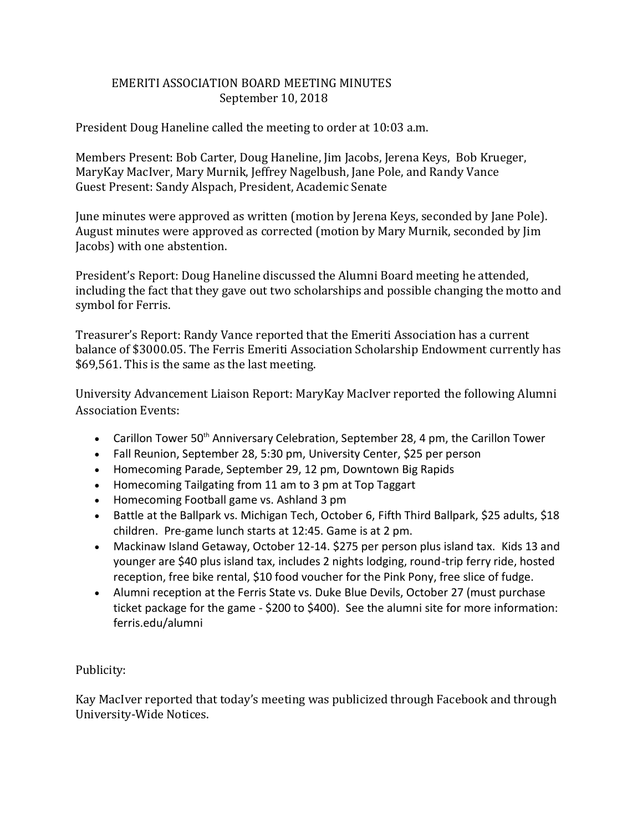## EMERITI ASSOCIATION BOARD MEETING MINUTES September 10, 2018

President Doug Haneline called the meeting to order at 10:03 a.m.

Members Present: Bob Carter, Doug Haneline, Jim Jacobs, Jerena Keys, Bob Krueger, MaryKay MacIver, Mary Murnik, Jeffrey Nagelbush, Jane Pole, and Randy Vance Guest Present: Sandy Alspach, President, Academic Senate

June minutes were approved as written (motion by Jerena Keys, seconded by Jane Pole). August minutes were approved as corrected (motion by Mary Murnik, seconded by Jim Jacobs) with one abstention.

President's Report: Doug Haneline discussed the Alumni Board meeting he attended, including the fact that they gave out two scholarships and possible changing the motto and symbol for Ferris.

Treasurer's Report: Randy Vance reported that the Emeriti Association has a current balance of \$3000.05. The Ferris Emeriti Association Scholarship Endowment currently has \$69,561. This is the same as the last meeting.

University Advancement Liaison Report: MaryKay MacIver reported the following Alumni Association Events:

- Carillon Tower 50<sup>th</sup> Anniversary Celebration, September 28, 4 pm, the Carillon Tower
- Fall Reunion, September 28, 5:30 pm, University Center, \$25 per person
- Homecoming Parade, September 29, 12 pm, Downtown Big Rapids
- Homecoming Tailgating from 11 am to 3 pm at Top Taggart
- Homecoming Football game vs. Ashland 3 pm
- Battle at the Ballpark vs. Michigan Tech, October 6, Fifth Third Ballpark, \$25 adults, \$18 children. Pre-game lunch starts at 12:45. Game is at 2 pm.
- Mackinaw Island Getaway, October 12-14. \$275 per person plus island tax. Kids 13 and younger are \$40 plus island tax, includes 2 nights lodging, round-trip ferry ride, hosted reception, free bike rental, \$10 food voucher for the Pink Pony, free slice of fudge.
- Alumni reception at the Ferris State vs. Duke Blue Devils, October 27 (must purchase ticket package for the game - \$200 to \$400). See the alumni site for more information: ferris.edu/alumni

Publicity:

Kay MacIver reported that today's meeting was publicized through Facebook and through University-Wide Notices.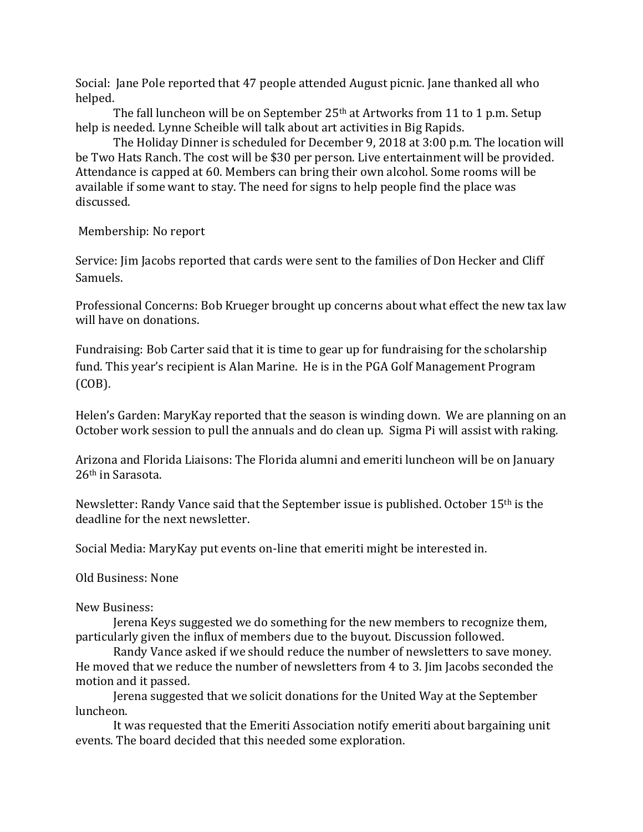Social: Jane Pole reported that 47 people attended August picnic. Jane thanked all who helped.

The fall luncheon will be on September 25<sup>th</sup> at Artworks from 11 to 1 p.m. Setup help is needed. Lynne Scheible will talk about art activities in Big Rapids.

The Holiday Dinner is scheduled for December 9, 2018 at 3:00 p.m. The location will be Two Hats Ranch. The cost will be \$30 per person. Live entertainment will be provided. Attendance is capped at 60. Members can bring their own alcohol. Some rooms will be available if some want to stay. The need for signs to help people find the place was discussed.

Membership: No report

Service: Jim Jacobs reported that cards were sent to the families of Don Hecker and Cliff Samuels.

Professional Concerns: Bob Krueger brought up concerns about what effect the new tax law will have on donations.

Fundraising: Bob Carter said that it is time to gear up for fundraising for the scholarship fund. This year's recipient is Alan Marine. He is in the PGA Golf Management Program (COB).

Helen's Garden: MaryKay reported that the season is winding down. We are planning on an October work session to pull the annuals and do clean up. Sigma Pi will assist with raking.

Arizona and Florida Liaisons: The Florida alumni and emeriti luncheon will be on January 26th in Sarasota.

Newsletter: Randy Vance said that the September issue is published. October 15th is the deadline for the next newsletter.

Social Media: MaryKay put events on-line that emeriti might be interested in.

Old Business: None

New Business:

Jerena Keys suggested we do something for the new members to recognize them, particularly given the influx of members due to the buyout. Discussion followed.

Randy Vance asked if we should reduce the number of newsletters to save money. He moved that we reduce the number of newsletters from 4 to 3. Jim Jacobs seconded the motion and it passed.

Jerena suggested that we solicit donations for the United Way at the September luncheon.

It was requested that the Emeriti Association notify emeriti about bargaining unit events. The board decided that this needed some exploration.